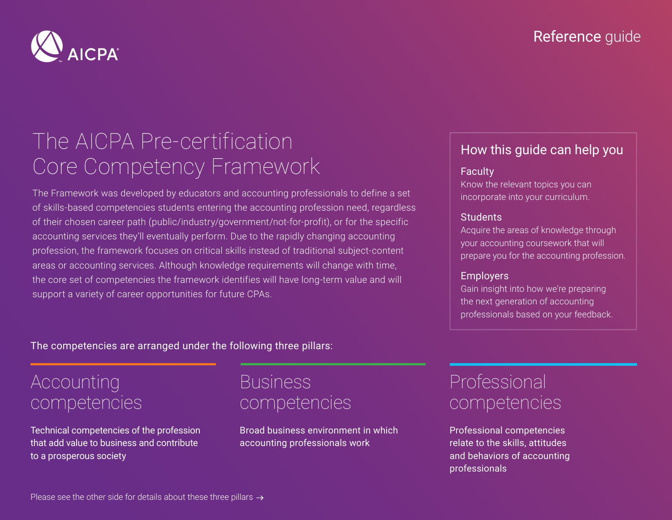

# The AICPA Pre-certification Core Competency Framework

The Framework was developed by educators and accounting professionals to define a set of skills-based competencies students entering the accounting profession need, regardless of their chosen career path (public/industry/government/not-for-profit), or for the specific accounting services they'll eventually perform. Due to the rapidly changing accounting profession, the framework focuses on critical skills instead of traditional subject-content areas or accounting services. Although knowledge requirements will change with time, the core set of competencies the framework identifies will have long-term value and will support a variety of career opportunities for future CPAs.

### How this guide can help you

### **Faculty**

Know the relevant topics you can incorporate into your curriculum.

### **Students**

Acquire the areas of knowledge through your accounting coursework that will prepare you for the accounting profession.

### **Employers**

Gain insight into how we're preparing the next generation of accounting professionals based on your feedback.

### The competencies are arranged under the following three pillars:

# Accounting competencies

Technical competencies of the profession that add value to business and contribute to a prosperous society

## Business competencies

Broad business environment in which accounting professionals work

# Professional competencies

Professional competencies relate to the skills, attitudes and behaviors of accounting professionals